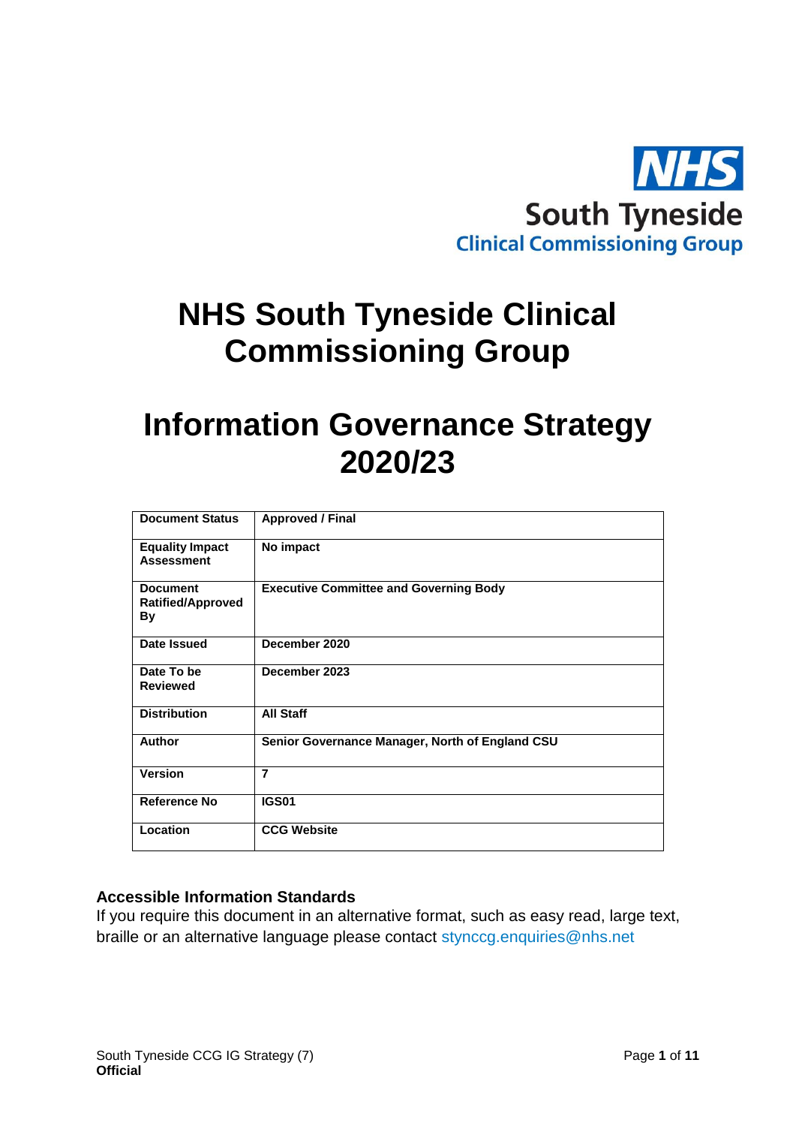

# **NHS South Tyneside Clinical Commissioning Group**

# **Information Governance Strategy 2020/23**

| <b>Document Status</b>                            | <b>Approved / Final</b>                         |
|---------------------------------------------------|-------------------------------------------------|
| <b>Equality Impact</b><br><b>Assessment</b>       | No impact                                       |
| <b>Document</b><br><b>Ratified/Approved</b><br>By | <b>Executive Committee and Governing Body</b>   |
| Date Issued                                       | December 2020                                   |
| Date To be<br><b>Reviewed</b>                     | December 2023                                   |
| <b>Distribution</b>                               | <b>All Staff</b>                                |
| <b>Author</b>                                     | Senior Governance Manager, North of England CSU |
| <b>Version</b>                                    | $\overline{7}$                                  |
| <b>Reference No</b>                               | <b>IGS01</b>                                    |
| Location                                          | <b>CCG Website</b>                              |

## **Accessible Information Standards**

If you require this document in an alternative format, such as easy read, large text, braille or an alternative language please contact [stynccg.enquiries@nhs.net](mailto:stynccg.enquiries@nhs.net)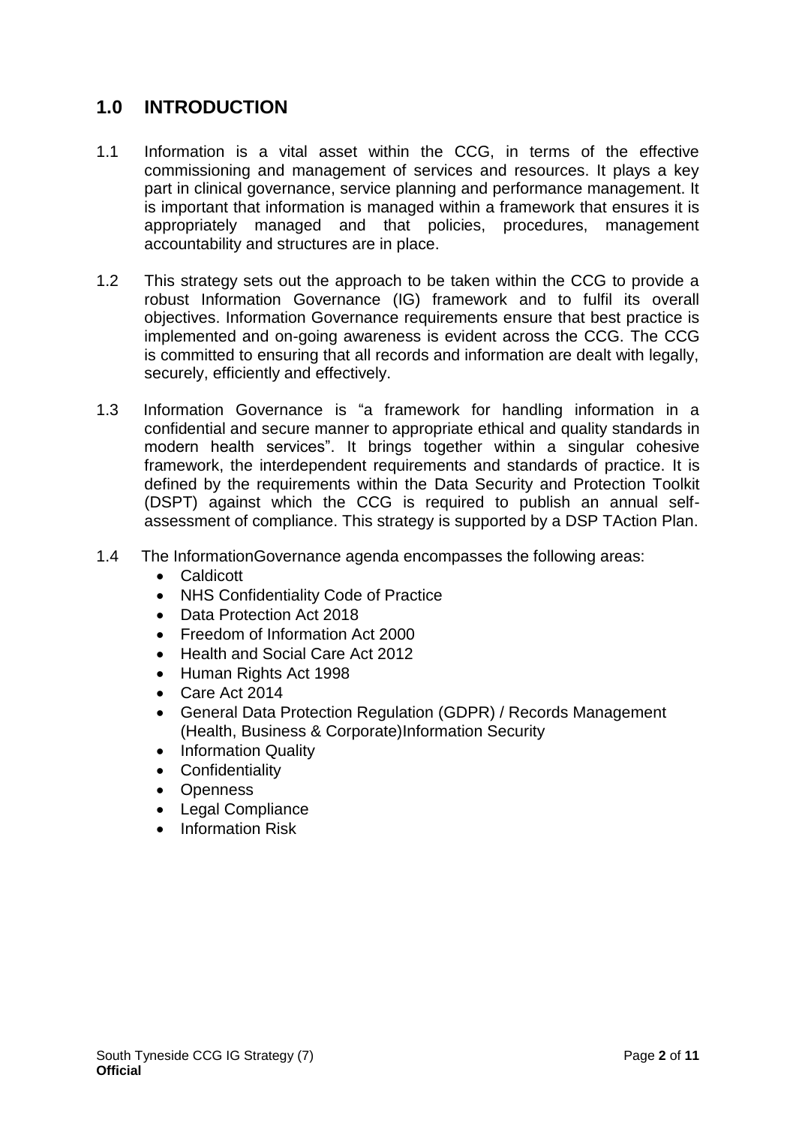# **1.0 INTRODUCTION**

- 1.1 Information is a vital asset within the CCG, in terms of the effective commissioning and management of services and resources. It plays a key part in clinical governance, service planning and performance management. It is important that information is managed within a framework that ensures it is appropriately managed and that policies, procedures, management accountability and structures are in place.
- 1.2 This strategy sets out the approach to be taken within the CCG to provide a robust Information Governance (IG) framework and to fulfil its overall objectives. Information Governance requirements ensure that best practice is implemented and on-going awareness is evident across the CCG. The CCG is committed to ensuring that all records and information are dealt with legally, securely, efficiently and effectively.
- 1.3 Information Governance is "a framework for handling information in a confidential and secure manner to appropriate ethical and quality standards in modern health services". It brings together within a singular cohesive framework, the interdependent requirements and standards of practice. It is defined by the requirements within the Data Security and Protection Toolkit (DSPT) against which the CCG is required to publish an annual selfassessment of compliance. This strategy is supported by a DSP TAction Plan.
- 1.4 The InformationGovernance agenda encompasses the following areas:
	- Caldicott
	- NHS Confidentiality Code of Practice
	- Data Protection Act 2018
	- Freedom of Information Act 2000
	- Health and Social Care Act 2012
	- Human Rights Act 1998
	- Care Act 2014
	- General Data Protection Regulation (GDPR) / Records Management (Health, Business & Corporate)Information Security
	- Information Quality
	- Confidentiality
	- Openness
	- Legal Compliance
	- Information Risk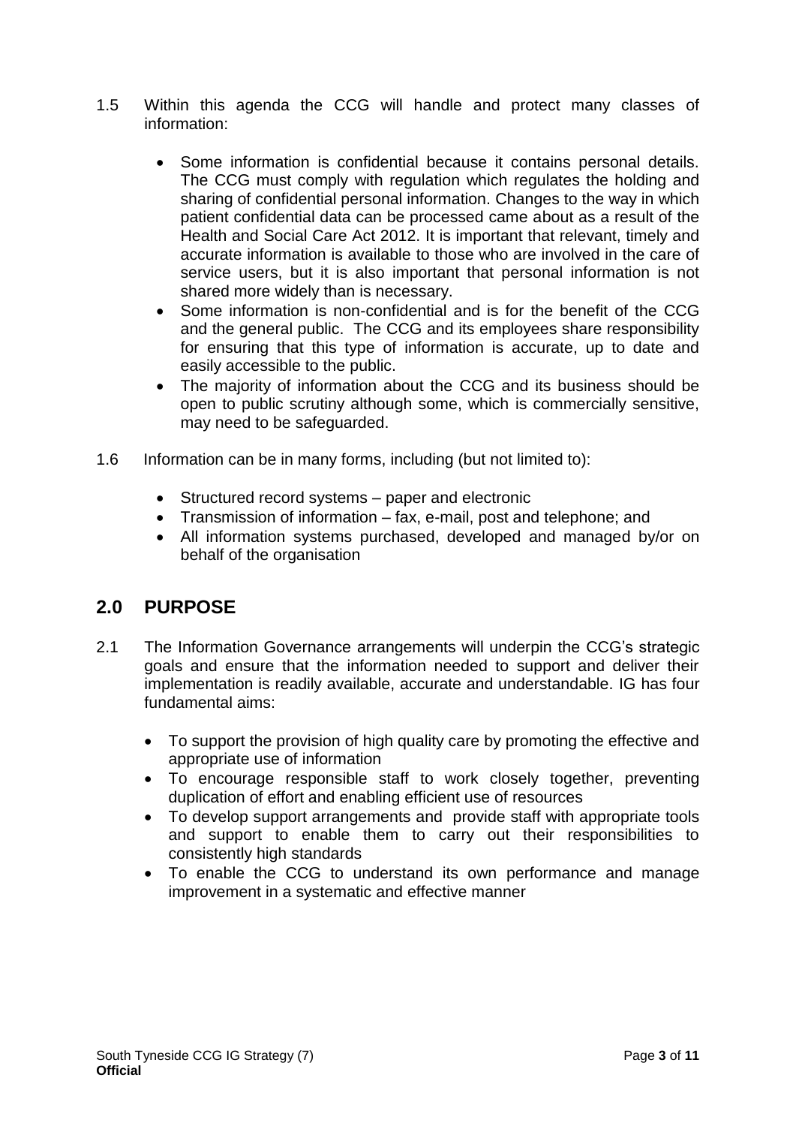- 1.5 Within this agenda the CCG will handle and protect many classes of information:
	- Some information is confidential because it contains personal details. The CCG must comply with regulation which regulates the holding and sharing of confidential personal information. Changes to the way in which patient confidential data can be processed came about as a result of the Health and Social Care Act 2012. It is important that relevant, timely and accurate information is available to those who are involved in the care of service users, but it is also important that personal information is not shared more widely than is necessary.
	- Some information is non-confidential and is for the benefit of the CCG and the general public. The CCG and its employees share responsibility for ensuring that this type of information is accurate, up to date and easily accessible to the public.
	- The majority of information about the CCG and its business should be open to public scrutiny although some, which is commercially sensitive, may need to be safeguarded.
- 1.6 Information can be in many forms, including (but not limited to):
	- Structured record systems paper and electronic
	- Transmission of information fax, e-mail, post and telephone; and
	- All information systems purchased, developed and managed by/or on behalf of the organisation

# **2.0 PURPOSE**

- 2.1 The Information Governance arrangements will underpin the CCG's strategic goals and ensure that the information needed to support and deliver their implementation is readily available, accurate and understandable. IG has four fundamental aims:
	- To support the provision of high quality care by promoting the effective and appropriate use of information
	- To encourage responsible staff to work closely together, preventing duplication of effort and enabling efficient use of resources
	- To develop support arrangements and provide staff with appropriate tools and support to enable them to carry out their responsibilities to consistently high standards
	- To enable the CCG to understand its own performance and manage improvement in a systematic and effective manner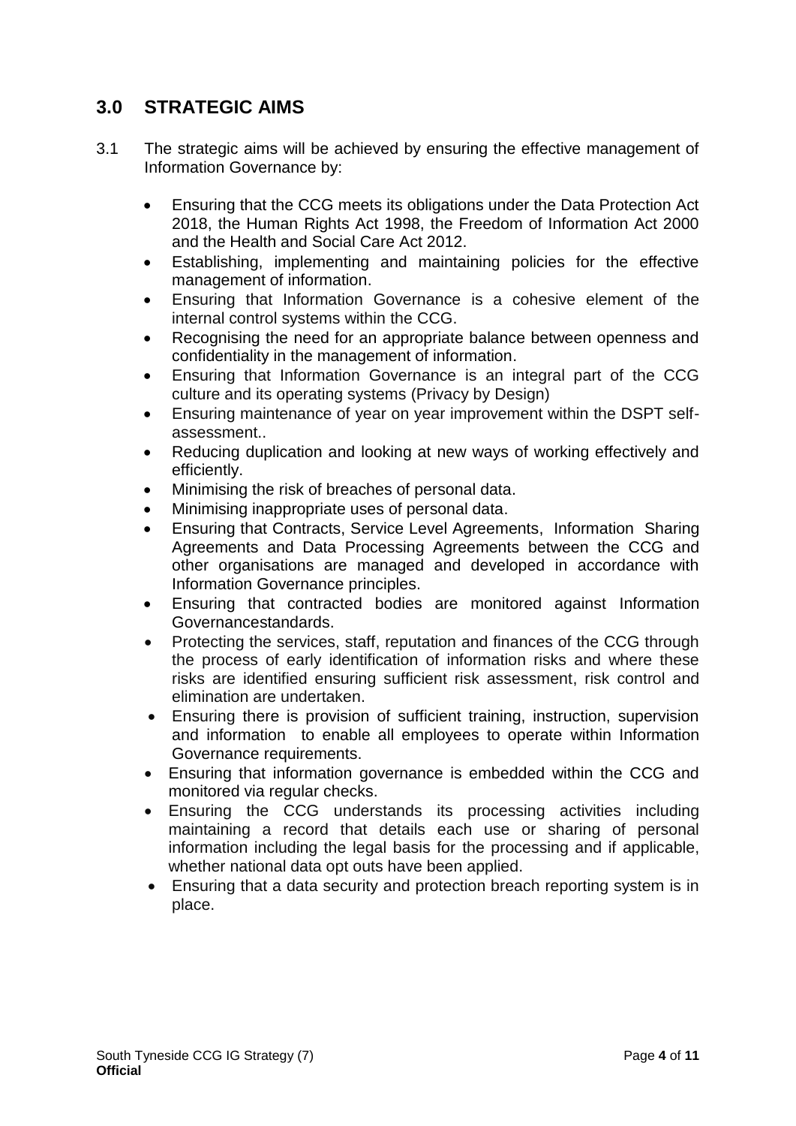# **3.0 STRATEGIC AIMS**

- 3.1 The strategic aims will be achieved by ensuring the effective management of Information Governance by:
	- Ensuring that the CCG meets its obligations under the Data Protection Act 2018, the Human Rights Act 1998, the Freedom of Information Act 2000 and the Health and Social Care Act 2012.
	- Establishing, implementing and maintaining policies for the effective management of information.
	- Ensuring that Information Governance is a cohesive element of the internal control systems within the CCG.
	- Recognising the need for an appropriate balance between openness and confidentiality in the management of information.
	- Ensuring that Information Governance is an integral part of the CCG culture and its operating systems (Privacy by Design)
	- Ensuring maintenance of year on year improvement within the DSPT selfassessment..
	- Reducing duplication and looking at new ways of working effectively and efficiently.
	- Minimising the risk of breaches of personal data.
	- Minimising inappropriate uses of personal data.
	- Ensuring that Contracts, Service Level Agreements, Information Sharing Agreements and Data Processing Agreements between the CCG and other organisations are managed and developed in accordance with Information Governance principles.
	- Ensuring that contracted bodies are monitored against Information Governancestandards.
	- Protecting the services, staff, reputation and finances of the CCG through the process of early identification of information risks and where these risks are identified ensuring sufficient risk assessment, risk control and elimination are undertaken.
	- Ensuring there is provision of sufficient training, instruction, supervision and information to enable all employees to operate within Information Governance requirements.
	- Ensuring that information governance is embedded within the CCG and monitored via regular checks.
	- Ensuring the CCG understands its processing activities including maintaining a record that details each use or sharing of personal information including the legal basis for the processing and if applicable, whether national data opt outs have been applied.
	- Ensuring that a data security and protection breach reporting system is in place.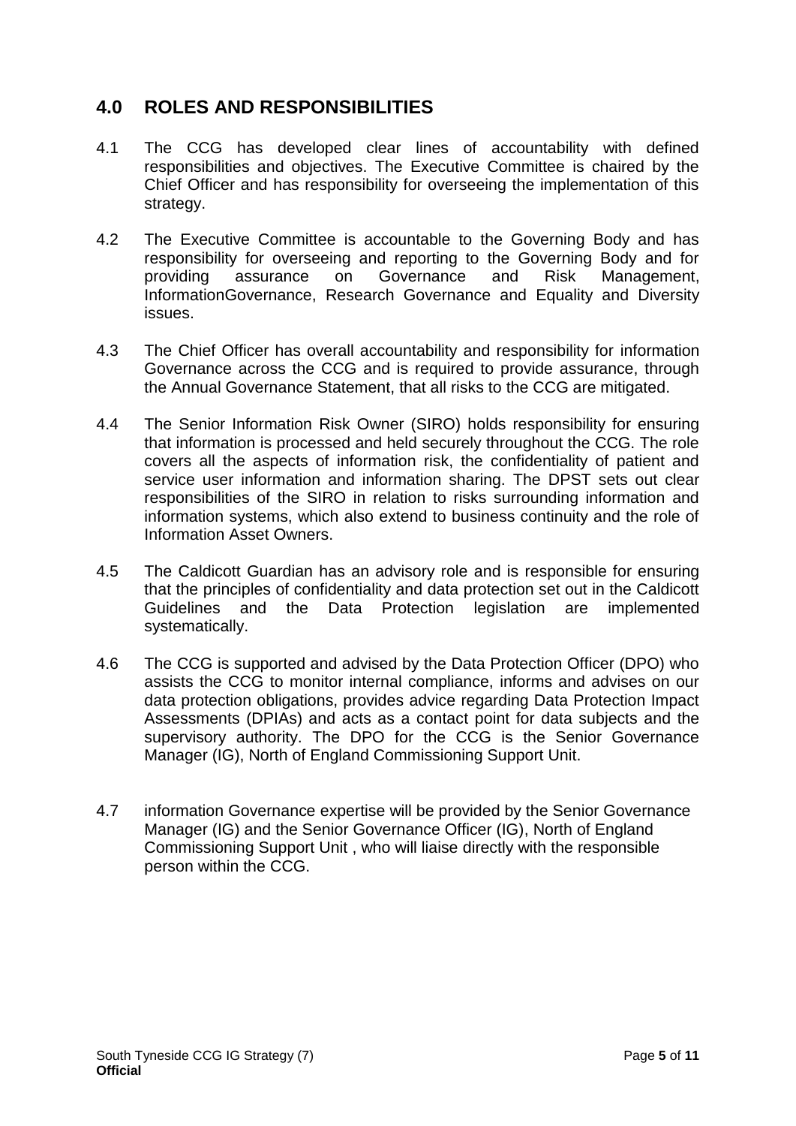# **4.0 ROLES AND RESPONSIBILITIES**

- 4.1 The CCG has developed clear lines of accountability with defined responsibilities and objectives. The Executive Committee is chaired by the Chief Officer and has responsibility for overseeing the implementation of this strategy.
- 4.2 The Executive Committee is accountable to the Governing Body and has responsibility for overseeing and reporting to the Governing Body and for providing assurance on Governance and Risk Management, InformationGovernance, Research Governance and Equality and Diversity issues.
- 4.3 The Chief Officer has overall accountability and responsibility for information Governance across the CCG and is required to provide assurance, through the Annual Governance Statement, that all risks to the CCG are mitigated.
- 4.4 The Senior Information Risk Owner (SIRO) holds responsibility for ensuring that information is processed and held securely throughout the CCG. The role covers all the aspects of information risk, the confidentiality of patient and service user information and information sharing. The DPST sets out clear responsibilities of the SIRO in relation to risks surrounding information and information systems, which also extend to business continuity and the role of Information Asset Owners.
- 4.5 The Caldicott Guardian has an advisory role and is responsible for ensuring that the principles of confidentiality and data protection set out in the Caldicott Guidelines and the Data Protection legislation are implemented systematically.
- 4.6 The CCG is supported and advised by the Data Protection Officer (DPO) who assists the CCG to monitor internal compliance, informs and advises on our data protection obligations, provides advice regarding Data Protection Impact Assessments (DPIAs) and acts as a contact point for data subjects and the supervisory authority. The DPO for the CCG is the Senior Governance Manager (IG), North of England Commissioning Support Unit.
- 4.7 information Governance expertise will be provided by the Senior Governance Manager (IG) and the Senior Governance Officer (IG), North of England Commissioning Support Unit , who will liaise directly with the responsible person within the CCG.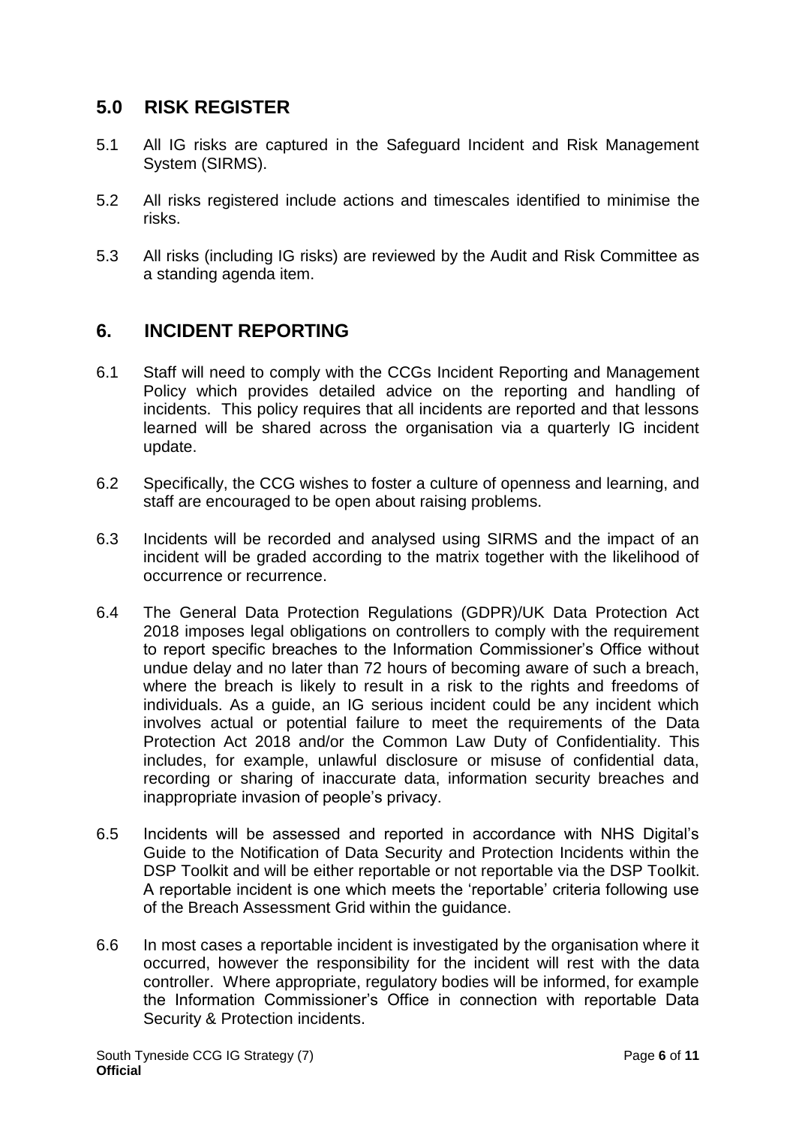## **5.0 RISK REGISTER**

- 5.1 All IG risks are captured in the Safeguard Incident and Risk Management System (SIRMS).
- 5.2 All risks registered include actions and timescales identified to minimise the risks.
- 5.3 All risks (including IG risks) are reviewed by the Audit and Risk Committee as a standing agenda item.

## **6. INCIDENT REPORTING**

- 6.1 Staff will need to comply with the CCGs Incident Reporting and Management Policy which provides detailed advice on the reporting and handling of incidents. This policy requires that all incidents are reported and that lessons learned will be shared across the organisation via a quarterly IG incident update.
- 6.2 Specifically, the CCG wishes to foster a culture of openness and learning, and staff are encouraged to be open about raising problems.
- 6.3 Incidents will be recorded and analysed using SIRMS and the impact of an incident will be graded according to the matrix together with the likelihood of occurrence or recurrence.
- 6.4 The General Data Protection Regulations (GDPR)/UK Data Protection Act 2018 imposes legal obligations on controllers to comply with the requirement to report specific breaches to the Information Commissioner's Office without undue delay and no later than 72 hours of becoming aware of such a breach, where the breach is likely to result in a risk to the rights and freedoms of individuals. As a guide, an IG serious incident could be any incident which involves actual or potential failure to meet the requirements of the Data Protection Act 2018 and/or the Common Law Duty of Confidentiality. This includes, for example, unlawful disclosure or misuse of confidential data, recording or sharing of inaccurate data, information security breaches and inappropriate invasion of people's privacy.
- 6.5 Incidents will be assessed and reported in accordance with NHS Digital's Guide to the Notification of Data Security and Protection Incidents within the DSP Toolkit and will be either reportable or not reportable via the DSP Toolkit. A reportable incident is one which meets the 'reportable' criteria following use of the Breach Assessment Grid within the guidance.
- 6.6 In most cases a reportable incident is investigated by the organisation where it occurred, however the responsibility for the incident will rest with the data controller. Where appropriate, regulatory bodies will be informed, for example the Information Commissioner's Office in connection with reportable Data Security & Protection incidents.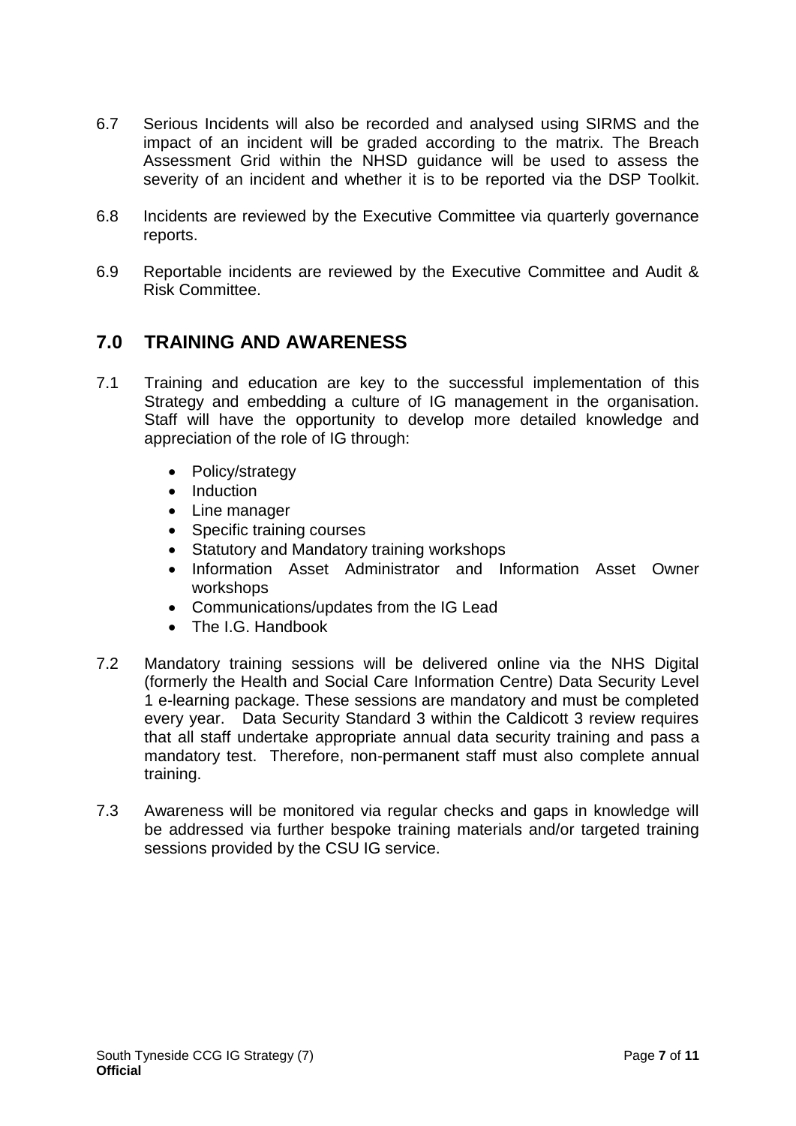- 6.7 Serious Incidents will also be recorded and analysed using SIRMS and the impact of an incident will be graded according to the matrix. The Breach Assessment Grid within the NHSD guidance will be used to assess the severity of an incident and whether it is to be reported via the DSP Toolkit.
- 6.8 Incidents are reviewed by the Executive Committee via quarterly governance reports.
- 6.9 Reportable incidents are reviewed by the Executive Committee and Audit & Risk Committee.

# **7.0 TRAINING AND AWARENESS**

- 7.1 Training and education are key to the successful implementation of this Strategy and embedding a culture of IG management in the organisation. Staff will have the opportunity to develop more detailed knowledge and appreciation of the role of IG through:
	- Policy/strategy
	- Induction
	- Line manager
	- Specific training courses
	- Statutory and Mandatory training workshops
	- Information Asset Administrator and Information Asset Owner workshops
	- Communications/updates from the IG Lead
	- The I.G. Handbook
- 7.2 Mandatory training sessions will be delivered online via the NHS Digital (formerly the Health and Social Care Information Centre) Data Security Level 1 e-learning package. These sessions are mandatory and must be completed every year. Data Security Standard 3 within the Caldicott 3 review requires that all staff undertake appropriate annual data security training and pass a mandatory test. Therefore, non-permanent staff must also complete annual training.
- 7.3 Awareness will be monitored via regular checks and gaps in knowledge will be addressed via further bespoke training materials and/or targeted training sessions provided by the CSU IG service.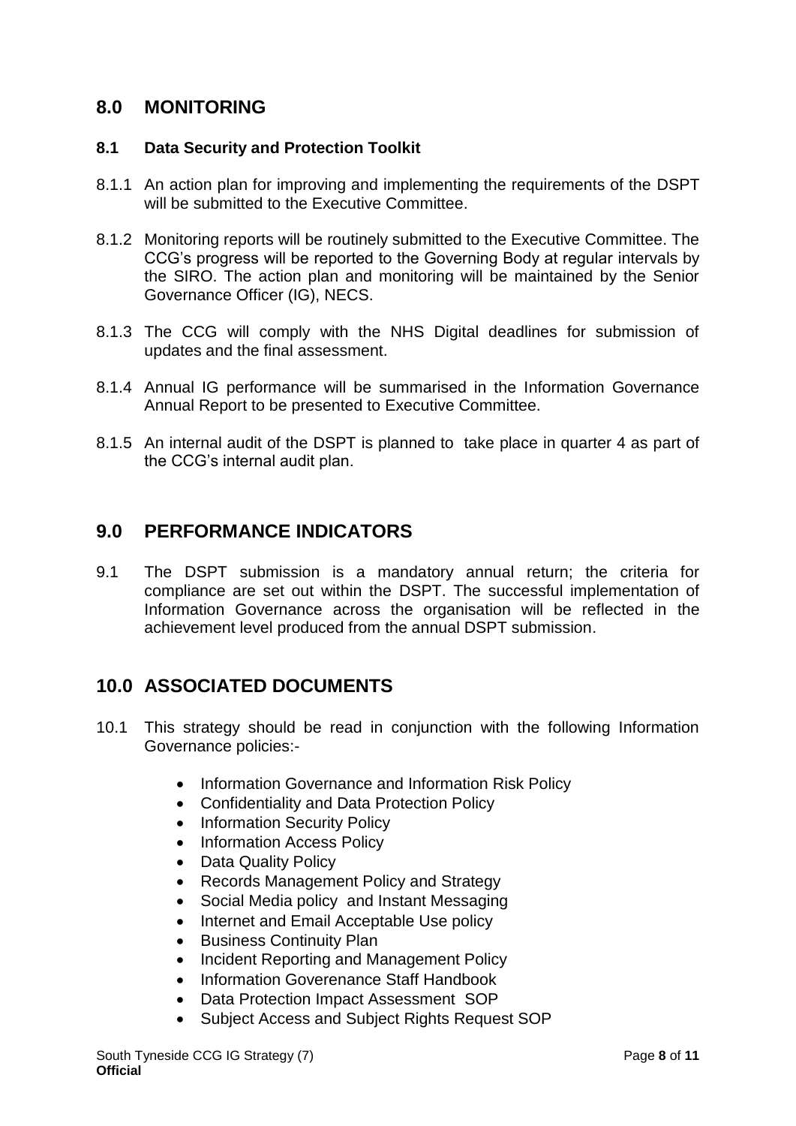## **8.0 MONITORING**

## **8.1 Data Security and Protection Toolkit**

- 8.1.1 An action plan for improving and implementing the requirements of the DSPT will be submitted to the Executive Committee.
- 8.1.2 Monitoring reports will be routinely submitted to the Executive Committee. The CCG's progress will be reported to the Governing Body at regular intervals by the SIRO. The action plan and monitoring will be maintained by the Senior Governance Officer (IG), NECS.
- 8.1.3 The CCG will comply with the NHS Digital deadlines for submission of updates and the final assessment.
- 8.1.4 Annual IG performance will be summarised in the Information Governance Annual Report to be presented to Executive Committee.
- 8.1.5 An internal audit of the DSPT is planned to take place in quarter 4 as part of the CCG's internal audit plan.

## **9.0 PERFORMANCE INDICATORS**

9.1 The DSPT submission is a mandatory annual return; the criteria for compliance are set out within the DSPT. The successful implementation of Information Governance across the organisation will be reflected in the achievement level produced from the annual DSPT submission.

# **10.0 ASSOCIATED DOCUMENTS**

- 10.1 This strategy should be read in conjunction with the following Information Governance policies:-
	- Information Governance and Information Risk Policy
	- Confidentiality and Data Protection Policy
	- Information Security Policy
	- Information Access Policy
	- Data Quality Policy
	- Records Management Policy and Strategy
	- Social Media policy and Instant Messaging
	- Internet and Email Acceptable Use policy
	- Business Continuity Plan
	- Incident Reporting and Management Policy
	- Information Goverenance Staff Handbook
	- Data Protection Impact Assessment SOP
	- Subject Access and Subject Rights Request SOP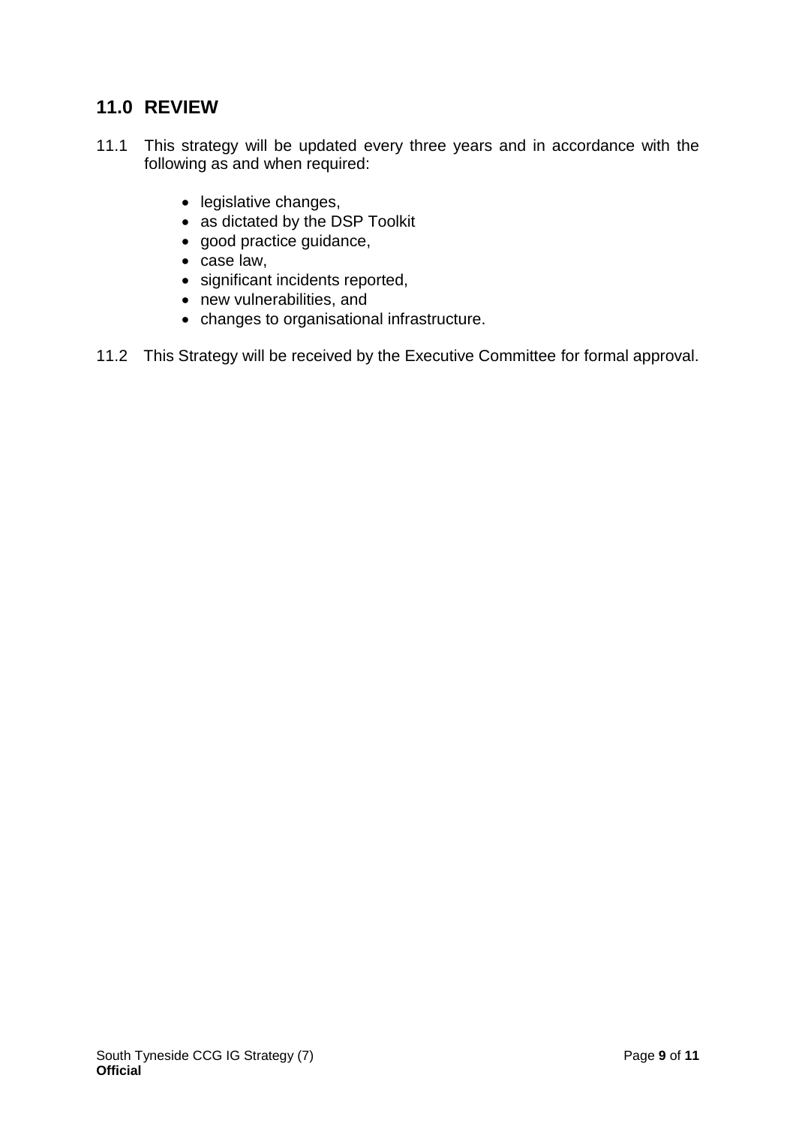# **11.0 REVIEW**

- 11.1 This strategy will be updated every three years and in accordance with the following as and when required:
	- legislative changes,
	- as dictated by the DSP Toolkit
	- good practice guidance,
	- case law,
	- significant incidents reported,
	- new vulnerabilities, and
	- changes to organisational infrastructure.
- 11.2 This Strategy will be received by the Executive Committee for formal approval.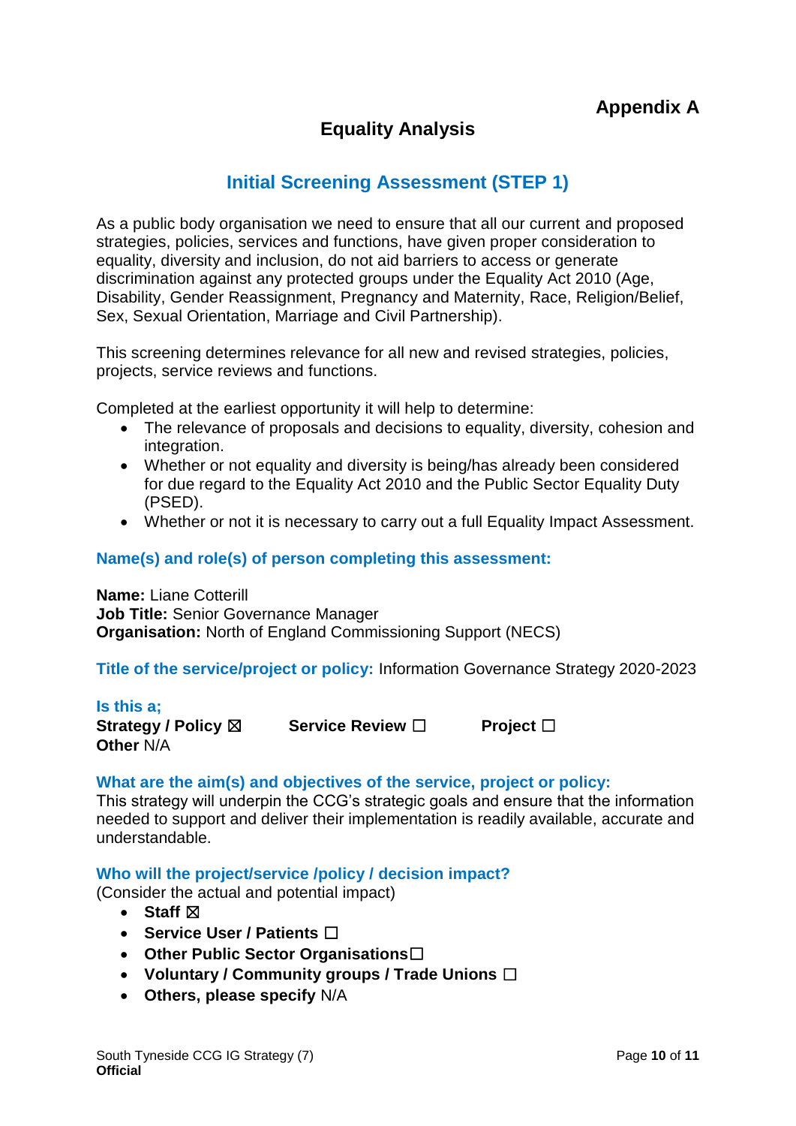# **Equality Analysis**

# **Initial Screening Assessment (STEP 1)**

As a public body organisation we need to ensure that all our current and proposed strategies, policies, services and functions, have given proper consideration to equality, diversity and inclusion, do not aid barriers to access or generate discrimination against any protected groups under the Equality Act 2010 (Age, Disability, Gender Reassignment, Pregnancy and Maternity, Race, Religion/Belief, Sex, Sexual Orientation, Marriage and Civil Partnership).

This screening determines relevance for all new and revised strategies, policies, projects, service reviews and functions.

Completed at the earliest opportunity it will help to determine:

- The relevance of proposals and decisions to equality, diversity, cohesion and integration.
- Whether or not equality and diversity is being/has already been considered for due regard to the Equality Act 2010 and the Public Sector Equality Duty (PSED).
- Whether or not it is necessary to carry out a full Equality Impact Assessment.

#### **Name(s) and role(s) of person completing this assessment:**

**Name:** Liane Cotterill **Job Title:** Senior Governance Manager **Organisation:** North of England Commissioning Support (NECS)

**Title of the service/project or policy:** Information Governance Strategy 2020-2023

#### **Is this a;**

**Strategy / Policy** ☒ **Service Review** ☐ **Project** ☐ **Other** N/A

#### **What are the aim(s) and objectives of the service, project or policy:**

This strategy will underpin the CCG's strategic goals and ensure that the information needed to support and deliver their implementation is readily available, accurate and understandable.

#### **Who will the project/service /policy / decision impact?**

(Consider the actual and potential impact)

- Staff  $⊠$
- **Service User / Patients** ☐
- **Other Public Sector Organisations**☐
- **Voluntary / Community groups / Trade Unions** ☐
- **Others, please specify** N/A